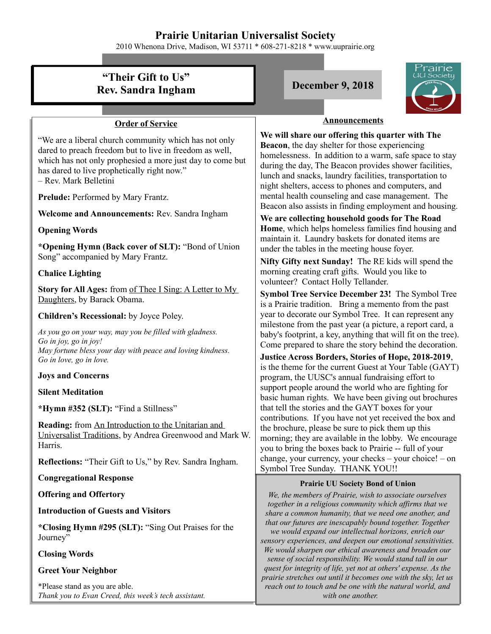## **Prairie Unitarian Universalist Society**

2010 Whenona Drive, Madison, WI 53711 \* 608-271-8218 \* www.uuprairie.org

## rairie **"Their Gift to Us" Rev. Sandra Ingham December 9, 2018 Announcements Order of Service We will share our offering this quarter with The**  "We are a liberal church community which has not only **Beacon**, the day shelter for those experiencing dared to preach freedom but to live in freedom as well, homelessness. In addition to a warm, safe space to stay which has not only prophesied a more just day to come but during the day, The Beacon provides shower facilities, has dared to live prophetically right now." lunch and snacks, laundry facilities, transportation to – Rev. Mark Belletini night shelters, access to phones and computers, and mental health counseling and case management. The **Prelude:** Performed by Mary Frantz. Beacon also assists in finding employment and housing. **Welcome and Announcements:** Rev. Sandra Ingham **We are collecting household goods for The Road Home**, which helps homeless families find housing and **Opening Words** maintain it. Laundry baskets for donated items are **\*Opening Hymn (Back cover of SLT):** "Bond of Union under the tables in the meeting house foyer. Song" accompanied by Mary Frantz. **Nifty Gifty next Sunday!** The RE kids will spend the morning creating craft gifts. Would you like to **Chalice Lighting** volunteer? Contact Holly Tellander. **Story for All Ages:** from of Thee I Sing: A Letter to My **Symbol Tree Service December 23!** The Symbol Tree Daughters, by Barack Obama. is a Prairie tradition. Bring a memento from the past year to decorate our Symbol Tree. It can represent any **Children's Recessional:** by Joyce Poley. milestone from the past year (a picture, a report card, a *As you go on your way, may you be filled with gladness.* baby's footprint, a key, anything that will fit on the tree). *Go in joy, go in joy!* Come prepared to share the story behind the decoration. *May fortune bless your day with peace and loving kindness.* **Justice Across Borders, Stories of Hope, 2018-2019**, *Go in love, go in love.* is the theme for the current Guest at Your Table (GAYT) **Joys and Concerns** program, the UUSC's annual fundraising effort to support people around the world who are fighting for **Silent Meditation** basic human rights. We have been giving out brochures that tell the stories and the GAYT boxes for your **\*Hymn #352 (SLT):** "Find a Stillness" contributions. If you have not yet received the box and **Reading:** from An Introduction to the Unitarian and the brochure, please be sure to pick them up this Universalist Traditions, by Andrea Greenwood and Mark W. morning; they are available in the lobby. We encourage Harris. you to bring the boxes back to Prairie -- full of your change, your currency, your checks – your choice! – on **Reflections:** "Their Gift to Us," by Rev. Sandra Ingham. Symbol Tree Sunday. THANK YOU!! **Congregational Response Prairie UU Society Bond of Union Offering and Offertory** *We, the members of Prairie, wish to associate ourselves together in a religious community which affirms that we* **Introduction of Guests and Visitors** *share a common humanity, that we need one another, and that our futures are inescapably bound together. Together* **\*Closing Hymn #295 (SLT):** "Sing Out Praises for the *we would expand our intellectual horizons, enrich our* Journey" *sensory experiences, and deepen our emotional sensitivities. We would sharpen our ethical awareness and broaden our* **Closing Words** *sense of social responsibility. We would stand tall in our quest for integrity of life, yet not at others' expense. As the* **Greet Your Neighbor** *prairie stretches out until it becomes one with the sky, let us*

*reach out to touch and be one with the natural world, and with one another.* 

\*Please stand as you are able. *Thank you to Evan Creed, this week's tech assistant.*